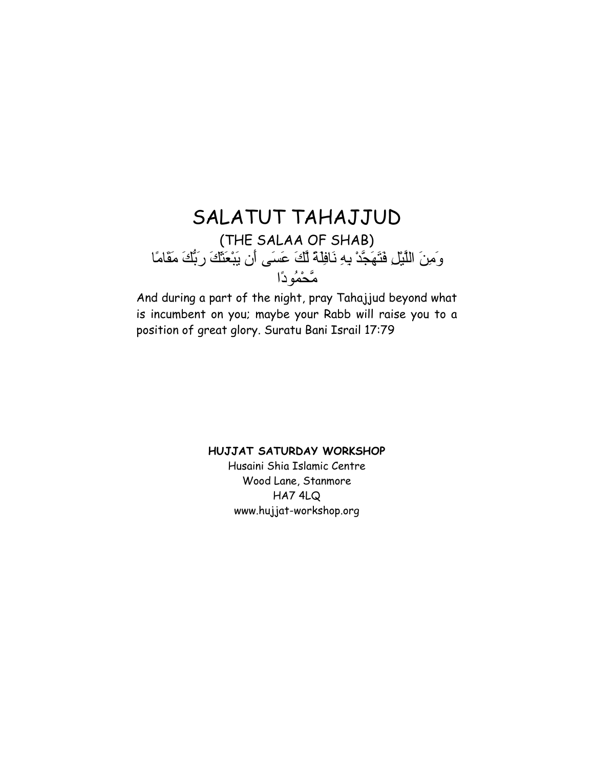# SALATUT TAHAJJUD (THE SALAA OF SHAB) وَمِنَ اللَّيْلِ فَتَهَجَّدْ بِهِ نَافِلَةً لَّكَ عَسَى أَن يَبْعَثَكَ رَبُّكَ مَقَامًا مَّحْمُودًا

And during a part of the night, pray Tahajjud beyond what is incumbent on you; maybe your Rabb will raise you to a position of great glory. Suratu Bani Israil 17:79

# **HUJJAT SATURDAY WORKSHOP**

Husaini Shia Islamic Centre Wood Lane, Stanmore HA7 4LQ www.hujjat-workshop.org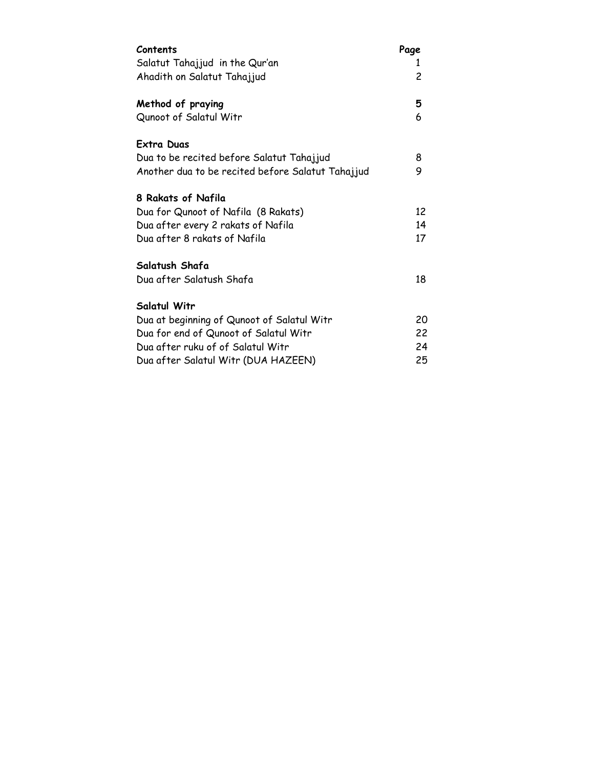| Contents                                          | Page |
|---------------------------------------------------|------|
| Salatut Tahajjud in the Qur'an                    | 1    |
| Ahadith on Salatut Tahajjud                       | 2    |
| Method of praying                                 | 5    |
| Qunoot of Salatul Witr                            | 6    |
| Extra Duas                                        |      |
| Dua to be recited before Salatut Tahajjud         | 8    |
| Another dua to be recited before Salatut Tahajjud | 9    |
| 8 Rakats of Nafila                                |      |
| Dua for Qunoot of Nafila (8 Rakats)               | 12   |
| Dua after every 2 rakats of Nafila                | 14   |
| Dua after 8 rakats of Nafila                      | 17   |
| Salatush Shafa                                    |      |
| Dua after Salatush Shafa                          | 18   |
| Salatul Witr                                      |      |
| Dua at beginning of Qunoot of Salatul Witr        | 20   |
| Dua for end of Qunoot of Salatul Witr             | 22   |
| Dua after ruku of of Salatul Witr                 | 24   |
| Dua after Salatul Witr (DUA HAZEEN)               | 25   |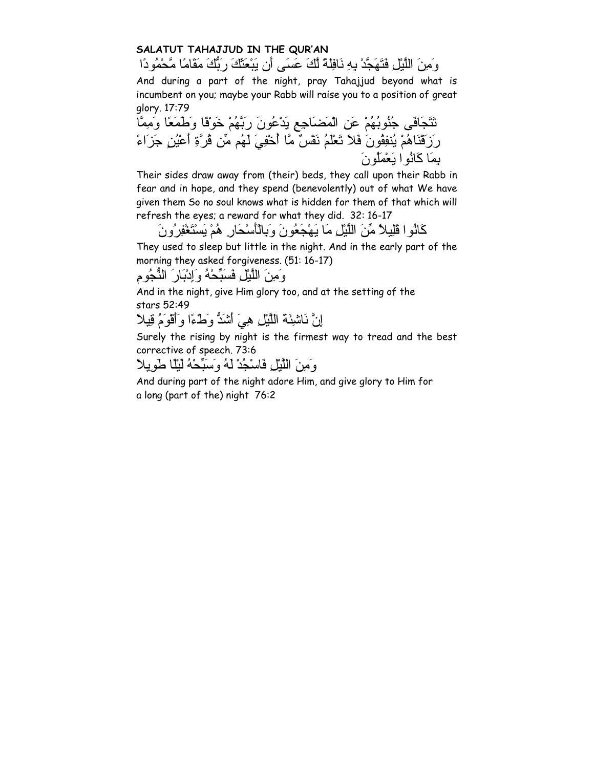# **SALATUT TAHAJJUD IN THE QUR'AN**

وَمِنَ اللَّيْلِ فَتَهَجَّدْ بِهِ نَافِلَةً لَّكَ عَسَى أَن يَبْعَثَكَ رَبُّكَ مَقَامًا مَّحْمُودًا And during a part of the night, pray Tahajjud beyond what is incumbent on you; maybe your Rabb will raise you to a position of great glory. 17:79 تَتَجَافَى جُنُوبُهُمْ عَنِ الْمَضَاجِعِ يَدْعُونَ رَبَّهُمْ خَوْفًا وَطَمَعًا وَمِمَّا

رَزَقْنَاهُمْ يُنفِقُونَ فَلاَ تَعْلَمُ نَفْسٌ مَّا أُخْفِيَ لَهُم مِّن قُرَّةِ أَعْيُنٍ جَزَاءً بِمَا آَانُوا يَعْمَلُونَ

Their sides draw away from (their) beds, they call upon their Rabb in fear and in hope, and they spend (benevolently) out of what We have given them So no soul knows what is hidden for them of that which will refresh the eyes; a reward for what they did. 32: 16-17

آَانُوا قَلِيلاً مِّنَ اللَّيْلِ مَا يَهْجَعُونَ وَبِالْأَسْحَارِ هُمْ يَسْتَغْفِرُونَ

They used to sleep but little in the night. And in the early part of the morning they asked forgiveness. (51: 16-17)

وَمِنَ اللَّيْلِ فَسَبِّحْهُ وَإِدْبَارَ النُّجُومِ

And in the night, give Him glory too, and at the setting of the stars 52:49

إِنَّ نَاشِئَةَ اللَّيْلِ هِيَ أَشَدُّ وَطْءًا وَأَقْوَمُ قِيلاً

Surely the rising by night is the firmest way to tread and the best corrective of speech. 73:6

وَمِنَ اللَّيْلِ فَاسْجُدْ لَهُ وَسَبِّحْهُ لَيْلًا طَوِيلاً

And during part of the night adore Him, and give glory to Him for a long (part of the) night 76:2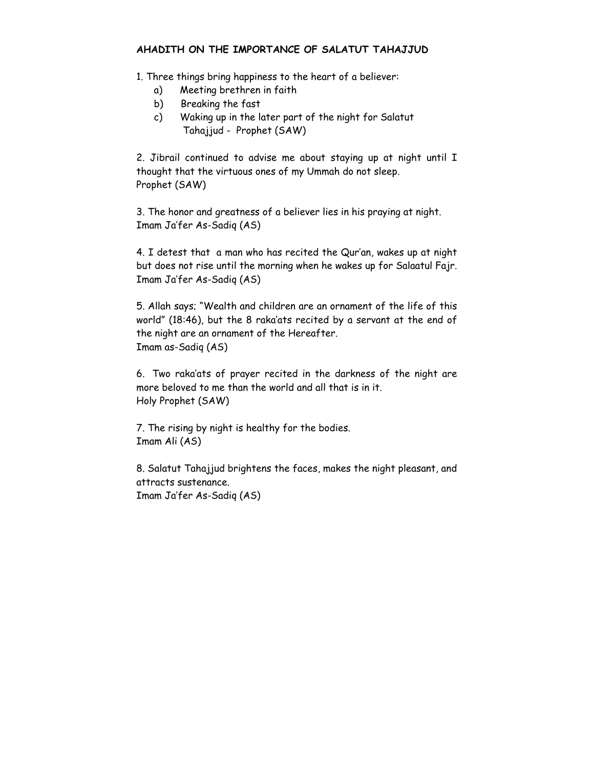#### **AHADITH ON THE IMPORTANCE OF SALATUT TAHAJJUD**

1. Three things bring happiness to the heart of a believer:

- a) Meeting brethren in faith
- b) Breaking the fast
- c) Waking up in the later part of the night for Salatut Tahajjud - Prophet (SAW)

2. Jibrail continued to advise me about staying up at night until I thought that the virtuous ones of my Ummah do not sleep. Prophet (SAW)

3. The honor and greatness of a believer lies in his praying at night. Imam Ja'fer As-Sadiq (AS)

4. I detest that a man who has recited the Qur'an, wakes up at night but does not rise until the morning when he wakes up for Salaatul Fajr. Imam Ja'fer As-Sadiq (AS)

5. Allah says; "Wealth and children are an ornament of the life of this world" (18:46), but the 8 raka'ats recited by a servant at the end of the night are an ornament of the Hereafter. Imam as-Sadiq (AS)

6. Two raka'ats of prayer recited in the darkness of the night are more beloved to me than the world and all that is in it. Holy Prophet (SAW)

7. The rising by night is healthy for the bodies. Imam Ali (AS)

8. Salatut Tahajjud brightens the faces, makes the night pleasant, and attracts sustenance. Imam Ja'fer As-Sadiq (AS)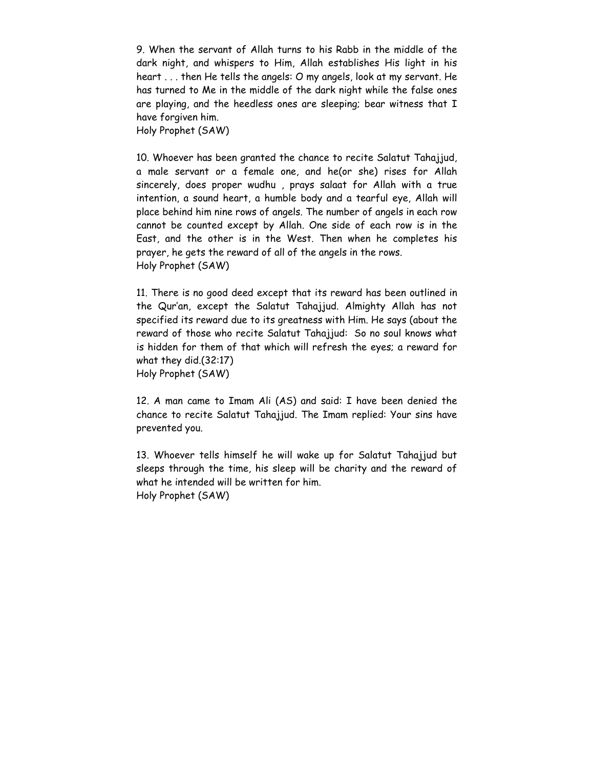9. When the servant of Allah turns to his Rabb in the middle of the dark night, and whispers to Him, Allah establishes His light in his heart . . . then He tells the angels: O my angels, look at my servant. He has turned to Me in the middle of the dark night while the false ones are playing, and the heedless ones are sleeping; bear witness that I have forgiven him.

Holy Prophet (SAW)

10. Whoever has been granted the chance to recite Salatut Tahajjud, a male servant or a female one, and he(or she) rises for Allah sincerely, does proper wudhu , prays salaat for Allah with a true intention, a sound heart, a humble body and a tearful eye, Allah will place behind him nine rows of angels. The number of angels in each row cannot be counted except by Allah. One side of each row is in the East, and the other is in the West. Then when he completes his prayer, he gets the reward of all of the angels in the rows. Holy Prophet (SAW)

11. There is no good deed except that its reward has been outlined in the Qur'an, except the Salatut Tahajjud. Almighty Allah has not specified its reward due to its greatness with Him. He says (about the reward of those who recite Salatut Tahajjud: So no soul knows what is hidden for them of that which will refresh the eyes; a reward for what they did.(32:17) Holy Prophet (SAW)

12. A man came to Imam Ali (AS) and said: I have been denied the chance to recite Salatut Tahajjud. The Imam replied: Your sins have prevented you.

13. Whoever tells himself he will wake up for Salatut Tahajjud but sleeps through the time, his sleep will be charity and the reward of what he intended will be written for him. Holy Prophet (SAW)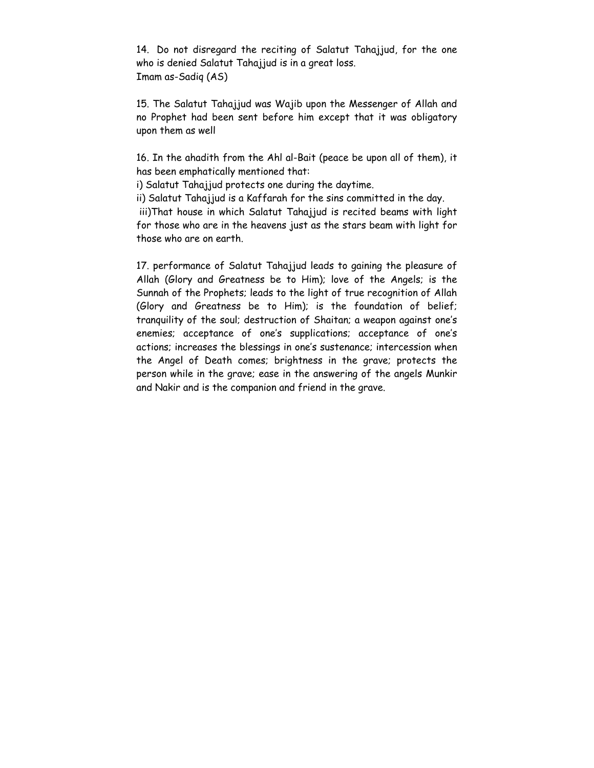14. Do not disregard the reciting of Salatut Tahajjud, for the one who is denied Salatut Tahajjud is in a great loss. Imam as-Sadiq (AS)

15. The Salatut Tahajjud was Wajib upon the Messenger of Allah and no Prophet had been sent before him except that it was obligatory upon them as well

16. In the ahadith from the Ahl al-Bait (peace be upon all of them), it has been emphatically mentioned that:

i) Salatut Tahajjud protects one during the daytime.

ii) Salatut Tahajjud is a Kaffarah for the sins committed in the day.

 iii)That house in which Salatut Tahajjud is recited beams with light for those who are in the heavens just as the stars beam with light for those who are on earth.

17. performance of Salatut Tahajjud leads to gaining the pleasure of Allah (Glory and Greatness be to Him); love of the Angels; is the Sunnah of the Prophets; leads to the light of true recognition of Allah (Glory and Greatness be to Him); is the foundation of belief; tranquility of the soul; destruction of Shaitan; a weapon against one's enemies; acceptance of one's supplications; acceptance of one's actions; increases the blessings in one's sustenance; intercession when the Angel of Death comes; brightness in the grave; protects the person while in the grave; ease in the answering of the angels Munkir and Nakir and is the companion and friend in the grave.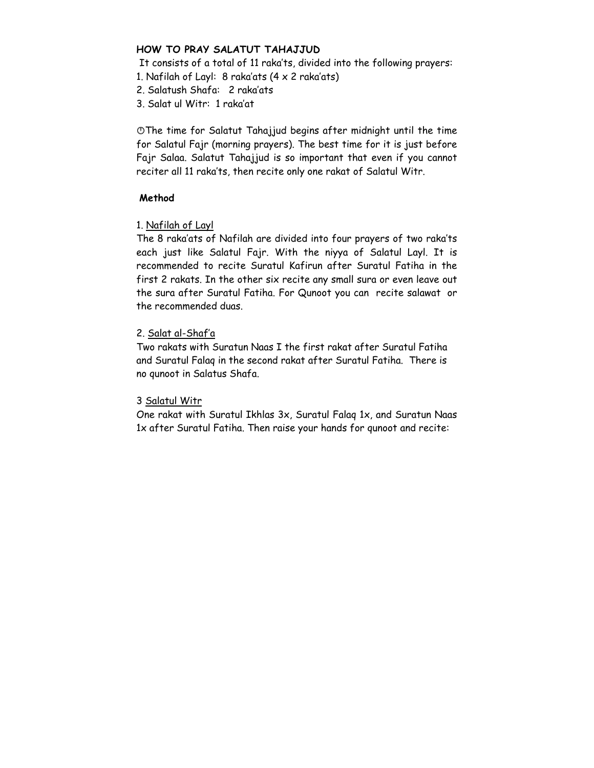#### **HOW TO PRAY SALATUT TAHAJJUD**

 It consists of a total of 11 raka'ts, divided into the following prayers: 1. Nafilah of Layl: 8 raka'ats  $(4 \times 2 \text{ raka'ats})$ 

2. Salatush Shafa: 2 raka'ats

3. Salat ul Witr: 1 raka'at

OThe time for Salatut Tahajjud begins after midnight until the time for Salatul Fajr (morning prayers). The best time for it is just before Fajr Salaa. Salatut Tahajjud is so important that even if you cannot reciter all 11 raka'ts, then recite only one rakat of Salatul Witr.

#### **Method**

# 1. Nafilah of Layl

The 8 raka'ats of Nafilah are divided into four prayers of two raka'ts each just like Salatul Fajr. With the niyya of Salatul Layl. It is recommended to recite Suratul Kafirun after Suratul Fatiha in the first 2 rakats. In the other six recite any small sura or even leave out the sura after Suratul Fatiha. For Qunoot you can recite salawat or the recommended duas.

# 2. Salat al-Shaf'a

Two rakats with Suratun Naas I the first rakat after Suratul Fatiha and Suratul Falaq in the second rakat after Suratul Fatiha. There is no qunoot in Salatus Shafa.

# 3 Salatul Witr

One rakat with Suratul Ikhlas 3x, Suratul Falaq 1x, and Suratun Naas 1x after Suratul Fatiha. Then raise your hands for qunoot and recite: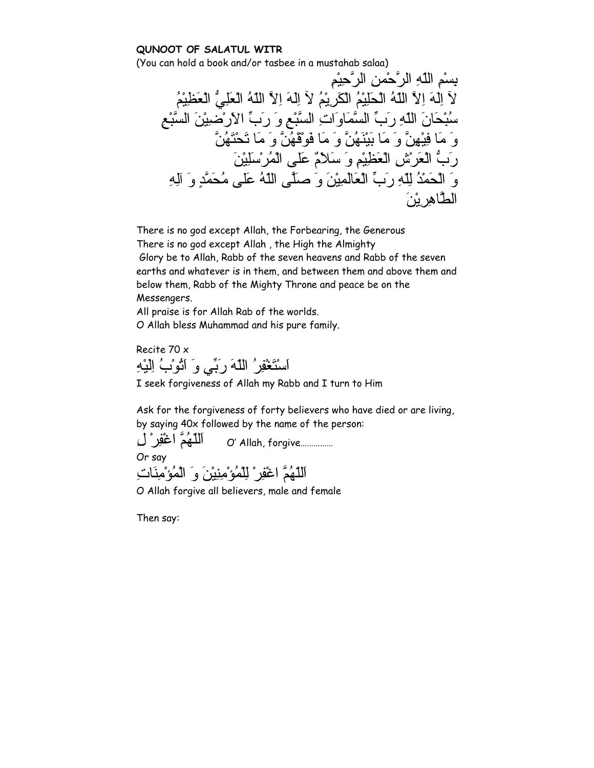#### **QUNOOT OF SALATUL WITR**

(You can hold a book and/or tasbee in a mustahab salaa)

بِسْمِ اللّهِ الرَّحْمنِ الرَّحِيْمِ لآ اِلَهَ اِلاَّ اللّهُ الْحَلِيْمُ الْكَرِيْمُ لآ اِلَهَ اِلاَّ اللّهُ الْعَلِيُّ الْعَظِيْمُ سُبْحَانَ اللّهِ رَبِّ السَّمَاوَاتِ السَّبْعِ وَ رَبِّ الاَرْضِيْنَ السَّبْعِ وَ مَا فِيْهِنَّ وَ مَا بَيْنَهُنَّ وَ مَا فَوْقَهُنَّ وَ مَا تَحْتَهُنَّ رَبُّ الْعَرْشِ الْعَظِيْمِ وَ سَلاَمٌ عَلى الْمُرْسَلِيْنَ وَ الْحَمْدُ لِلّهِ رَبِّ الْعَالَمِيْنَ وَ صَلَّى اللّهُ عَلى مُحَمَّدٍ وَ آلِهِ الطَّاهِرِيْنَ

There is no god except Allah, the Forbearing, the Generous There is no god except Allah , the High the Almighty Glory be to Allah, Rabb of the seven heavens and Rabb of the seven earths and whatever is in them, and between them and above them and below them, Rabb of the Mighty Throne and peace be on the Messengers.

All praise is for Allah Rab of the worlds.

O Allah bless Muhammad and his pure family.

Recite 70 x اَسْتَغْفِرُ اللّهَ رَبِّي وَ اَتُوْبُ اِلَيْهِ

I seek forgiveness of Allah my Rabb and I turn to Him

Ask for the forgiveness of forty believers who have died or are living, by saying 40x followed by the name of the person:

 ...............forgive ,Allah' O اَللّهُمَّ اغْفِرْ لِ Or say اَللّهُمَّ اغْفِرْ لِلْمُؤْمِنِيْنَ وَ الْمُؤْمِنَاتِ

O Allah forgive all believers, male and female

Then say: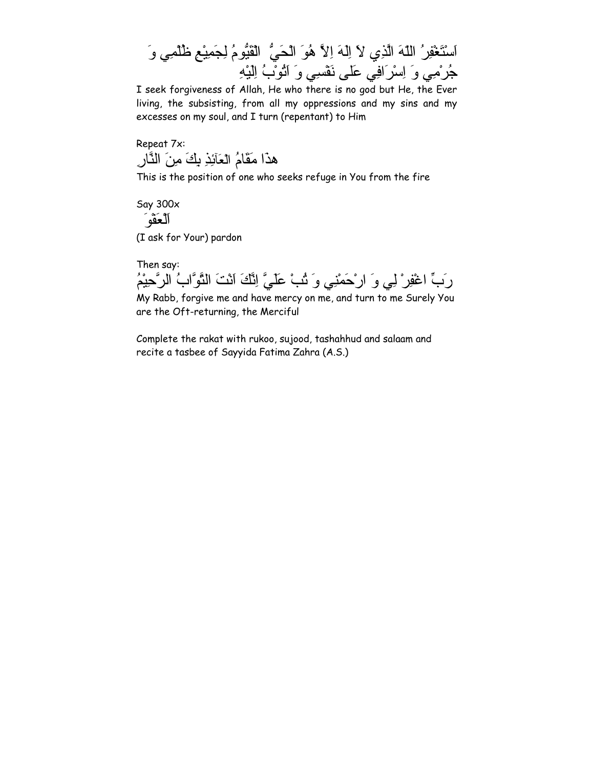

I seek forgiveness of Allah, He who there is no god but He, the Ever living, the subsisting, from all my oppressions and my sins and my excesses on my soul, and I turn (repentant) to Him

Repeat 7x: هذَا مَقَامُ الْعَآئِذِ بِكَ مِنَ النَّارِ

This is the position of one who seeks refuge in You from the fire

Say 300x اَلْعَفْوَ (I ask for Your) pardon

Then say:

رَبِّ اغْفِرْ لِي وَ ارْحَمْنِي وَ تُبْ عَلَيَّ اِنَّكَ اَنْتَ التَّوَّابُ الرَّحِيْمُ

My Rabb, forgive me and have mercy on me, and turn to me Surely You are the Oft-returning, the Merciful

Complete the rakat with rukoo, sujood, tashahhud and salaam and recite a tasbee of Sayyida Fatima Zahra (A.S.)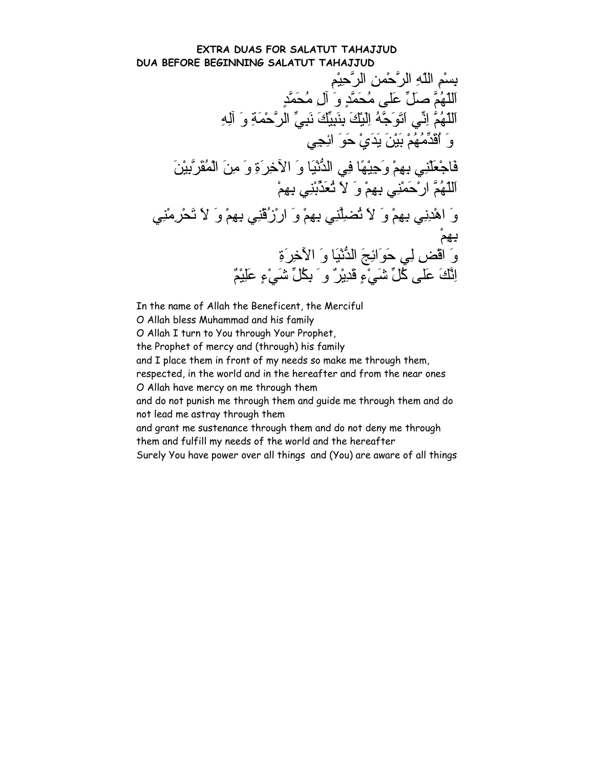#### **EXTRA DUAS FOR SALATUT TAHAJJUD DUA BEFORE BEGINNING SALATUT TAHAJJUD**

بِسْمِ اللّهِ الرَّحْمنِ الرَّحِيْمِ اَللّهُمَّ صَلِّ عَلى مُحَمَّدٍ وَ آلِ مُحَمَّدٍ اَللّهُمَّ اِنِّي اَتَوَجَّهُ اِلَيْكَ بِنَبِيِّكَ نَبِيِّ الرَّحْمَةِ وَ آلِهِ وَ اُقَدِّمُهُمْ بَيْنَ يَدَيْ حَوَ ائِجِي فَاجْعَلْنِي بِهِمْ وَجِيْهًا فِي الدُّنْيَا وَ الآخِرَةِ وَ مِنَ الْمُقَرَّبِيْنَ اَللّهُمَّ ارْحَمْنِي بِهِمْ وَ لاَ تُعَذِّبْنِي بِهِمْ وَ اهْدِنِي بِهِمْ وَ لاَ تُضِلَّنِي بِهِمْ وَ ارْزُقْنِي بِهِمْ وَ لاَ تَحْرِمْنِي بِهِمْ وَ اقْضِ لِي حَوَائِجَ الدُّنْيَا وَ الآَخِرَةِ اِنَّكَ عَلى آُلِّ شَيْءٍ قَدِيْرٌ وَ بِكُلِّ شَيْءٍ عَلِيْمٌ

In the name of Allah the Beneficent, the Merciful

O Allah bless Muhammad and his family

O Allah I turn to You through Your Prophet,

the Prophet of mercy and (through) his family

and I place them in front of my needs so make me through them,

respected, in the world and in the hereafter and from the near ones O Allah have mercy on me through them

and do not punish me through them and guide me through them and do not lead me astray through them

and grant me sustenance through them and do not deny me through them and fulfill my needs of the world and the hereafter

Surely You have power over all things and (You) are aware of all things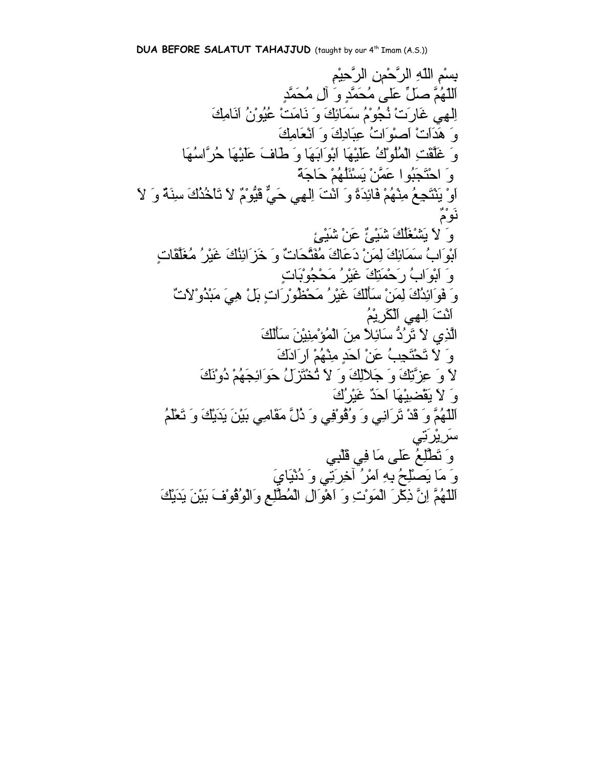بِسْمِ اللّهِ الرَّحْمنِ الرَّحِيْمِ اَللّهُمَّ صَلِّ عَلى مُحَمَّدٍ وَ آلِ مُحَمَّدٍ اِلهِي غَارَتْ نُجُوْمُ سَمَائِكَ وَ نَامَتْ عُيُوْنُ اَنَامِكَ وَ هَدَاَتْ اَصْوَاتُ عِبَادِكَ وَ اَنْعَامِكَ وَ غَلَّقَتِ الْمُلُوْكُ عَلَيْهَا اَبْوَابَهَا وَ طَافَ عَلَيْهَا حُرَّاسُهَا وَ احْتَجَبُوا عَمَّنْ يَسْئَلُهُمْ حَاجَةً اَوْ يَنْتَجِعُ مِنْهُمْ فَائِدَةً وَ اَنْتَ اِلهِي حَيٌّ قَيُّوْمٌ لاَ تَاْخُذُكَ سِنَةٌ وَ لاَ نَوْمٌ وَ لاَ يَشْغَلُكَ شَيْئٌ عَنْ شَيْئٍ اَبْوَابُ سَمَائِكَ لِمَنْ دَعَاكَ مُفَتَّحَاتٌ وَ خَزَائِنُكَ غَيْرُ مُغَلَّقَاتٍ وَ اَبْوَابُ رَحْمَتِكَ غَيْرُ مَحْجُوْبَاتٍ وَ فَوَائِدُكَ لِمَنْ سَأَلَكَ غَيْرُ مَحْظُوْرَاتٍ بَلْ هِيَ مَبْذُوْلاَتٌ اَنْتَ اِلهِي اَلْكَرِيْمُ الَّذِي لاَ تَرُدُّ سَائِلاً مِنَ الْمُؤْمِنِيْنَ سَأَلَكَ وَ لاَ تَحْتَجِبُ عَنْ اَحَدٍ مِنْهُمْ اَرَادَكَ لاَ وَ عِزَّتِكَ وَ جَلاَلِكَ وَ لاَ تُخْتَزَلُ حَوَائِجَهُمْ دُوْنَكَ وَ لاَ يَقْضِيْهَا اَحَدٌ غَيْرُكَ اَللّهُمَّ وَ قَدْ تَرَانِي وَ وُقُوْفِي وَ ذُلَّ مَقَامِي بَيْنَ يَدَيْكَ وَ تَعْلَمُ سَرِيْرَتِي وَ تَطَّلِعُ عَلى مَا فِي قَلْبِي وَ مَا يَصْلِحُ بِهِ اَمْرُ آخِرَتِي وَ دُنْيَايَ اَللّهُمَّ اِنَّ ذِآْرَ الْمَوْتِ وَ اَهْوَالِ الْمُطَّلِعِ وَالْوُقُوْفَ بَيْنَ يَدَيْكَ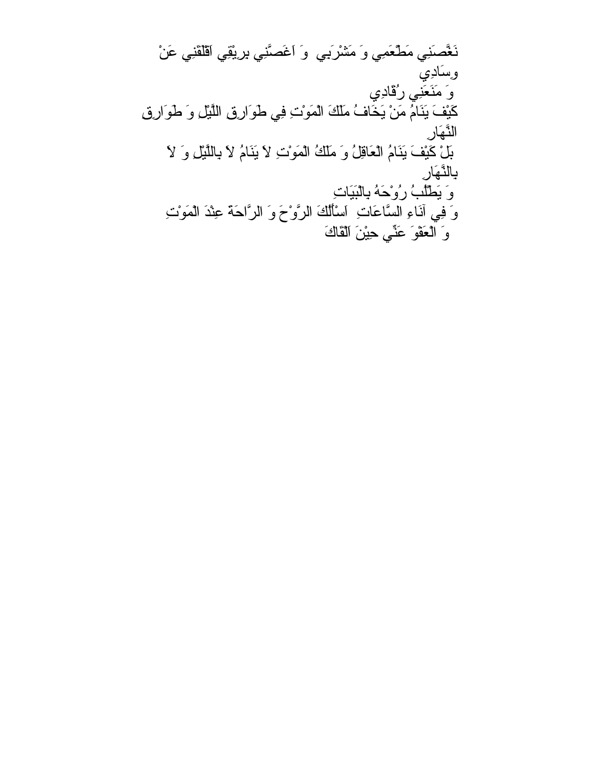نَغَّصَنِي مَطْعَمِي وَ مَشْرَبِي وَ اَغَصَّنِي بِرِيْقِي اَقْلَقَنِي عَنْ وِسَادِي وَ مَنَعَنِي رُقَادِي آَيْفَ يَنَامُ مَنْ يَخَافُ مَلَكَ الْمَوْتِ فِي طَوَارِقِ اللَّيْلِ وَ طَوَارِقِ النَّهَارِ بَلْ آَيْفَ يَنَامُ الْعَاقِلُ وَ مَلَكُ الْمَوْتِ لاَ يَنَامُ لاَ بِاللَّيْلِ وَ لاَ بِالنَّهَارِ وَ يَطْلُبُ رُوْحَهُ بِالْبَيَاتِ وَ فِي آنَاءِ السَّاعَاتِ اَسْأَلُكَ الرَّوْحَ وَ الرَّاحَةَ عِنْدَ الْمَوْتِ وَ الْعَفْوَ عَنِّي حِيْنَ اَلْقَاكَ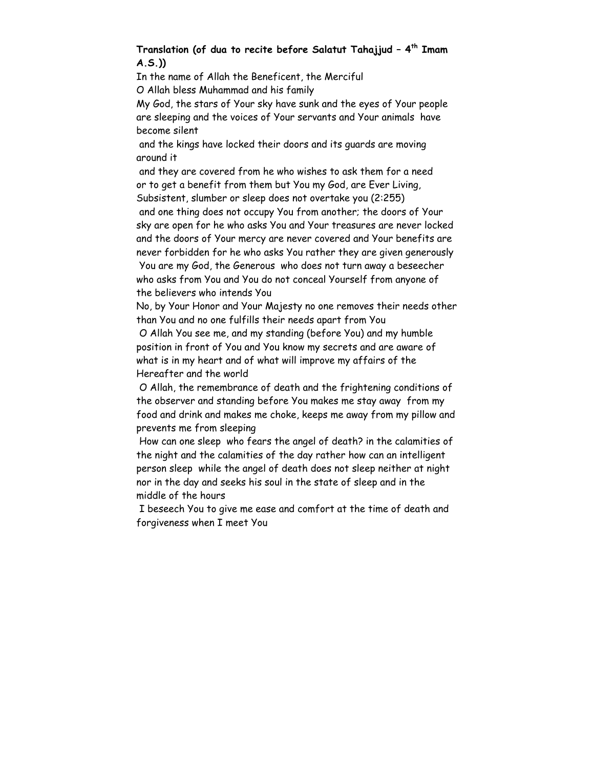# **Translation (of dua to recite before Salatut Tahajjud – 4th Imam A.S.))**

In the name of Allah the Beneficent, the Merciful

O Allah bless Muhammad and his family

My God, the stars of Your sky have sunk and the eyes of Your people are sleeping and the voices of Your servants and Your animals have become silent

 and the kings have locked their doors and its guards are moving around it

 and they are covered from he who wishes to ask them for a need or to get a benefit from them but You my God, are Ever Living, Subsistent, slumber or sleep does not overtake you (2:255) and one thing does not occupy You from another; the doors of Your sky are open for he who asks You and Your treasures are never locked and the doors of Your mercy are never covered and Your benefits are never forbidden for he who asks You rather they are given generously You are my God, the Generous who does not turn away a beseecher who asks from You and You do not conceal Yourself from anyone of the believers who intends You

No, by Your Honor and Your Majesty no one removes their needs other than You and no one fulfills their needs apart from You

 O Allah You see me, and my standing (before You) and my humble position in front of You and You know my secrets and are aware of what is in my heart and of what will improve my affairs of the Hereafter and the world

 O Allah, the remembrance of death and the frightening conditions of the observer and standing before You makes me stay away from my food and drink and makes me choke, keeps me away from my pillow and prevents me from sleeping

 How can one sleep who fears the angel of death? in the calamities of the night and the calamities of the day rather how can an intelligent person sleep while the angel of death does not sleep neither at night nor in the day and seeks his soul in the state of sleep and in the middle of the hours

 I beseech You to give me ease and comfort at the time of death and forgiveness when I meet You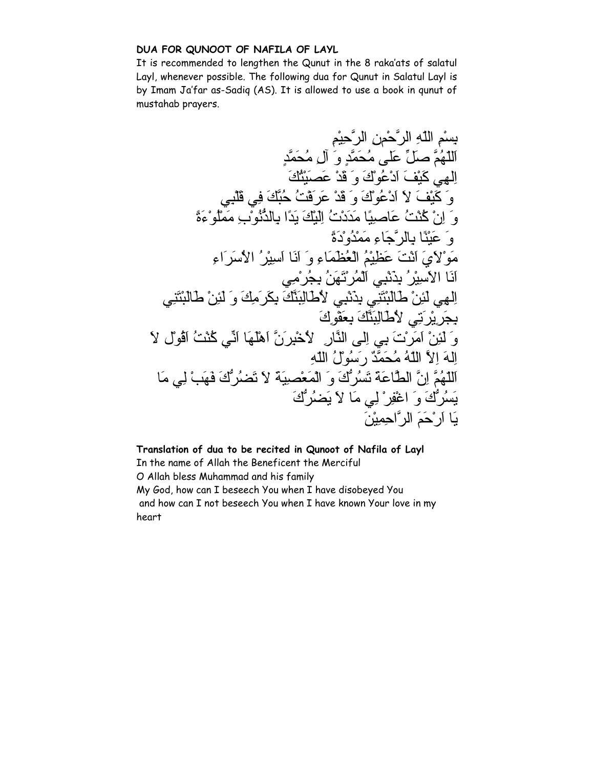# **DUA FOR QUNOOT OF NAFILA OF LAYL**

It is recommended to lengthen the Qunut in the 8 raka'ats of salatul Layl, whenever possible. The following dua for Qunut in Salatul Layl is by Imam Ja'far as-Sadiq (AS). It is allowed to use a book in qunut of mustahab prayers.

بِسْمِ اللّهِ الرَّحْمنِ الرَّحِيْمِ اَللّهُمَّ صَلِّ عَلى مُحَمَّدٍ وَ آلِ مُحَمَّدٍ اِلهِي آَيْفَ اَدْعُوْكَ وَ قَدْ عَصَيْتُكَ وَ آَيْفَ لاَ اَدْعُوْكَ وَ قَدْ عَرَفْتُ حُبَّكَ فِي قَلْبِي وَ اِنْ آُنْتُ عَاصِيًا مَدَدْتُ اِلَيْكَ يَدًا بِالذُّنُوْبِ مَمْلُوْءَةً وَ عَيْنًا بِالرَّجَاءِ مَمْدُوْدَةً مَوْلاَيَ اَنْتَ عَظِيْمُ الْعُظَمَاءِ وَ اَنَا اَسِيْرُ الاُسَرَاءِ اَنَا الاَسِيْرُ بِذَنْبِي اَلْمُرْتَهَنُ بِجُرْمِي اِلهِي لَئِنْ طَالَبْتَنِي بِذَنْبِي لاُطَالِبَنَّكَ بِكَرَمِكَ وَ لَئِنْ طَالَبْتَنِي بِجَرِيْرَتِي لاُطَالِبَنَّكَ بِعَفْوِكَ وَ لَئِنْ اَمَرْتَ بِي اِلى النَّارِ لاُخْبِرَنَّ اَهْلَهَا اَنِّي آُنْتُ اَقُوْل لاَ اِلهَ اِلاَّ اللّهُ مُحَمَّدٌ رَسُوْلُ اللّهِ اَللّهُمَّ اِنَّ الطَّاعَةَ تَسُرُّكَ وَ الْمَعْصِيَةَ لاَ تَضُرُّكَ فَهَبْ لِي مَا يَسُرُّكَ وَ اغْفِرْ لِي مَا لاَ يَضُرُّكَ يَا اَرْحَمَ الرَّاحِمِيْنَ

**Translation of dua to be recited in Qunoot of Nafila of Layl**  In the name of Allah the Beneficent the Merciful O Allah bless Muhammad and his family My God, how can I beseech You when I have disobeyed You and how can I not beseech You when I have known Your love in my heart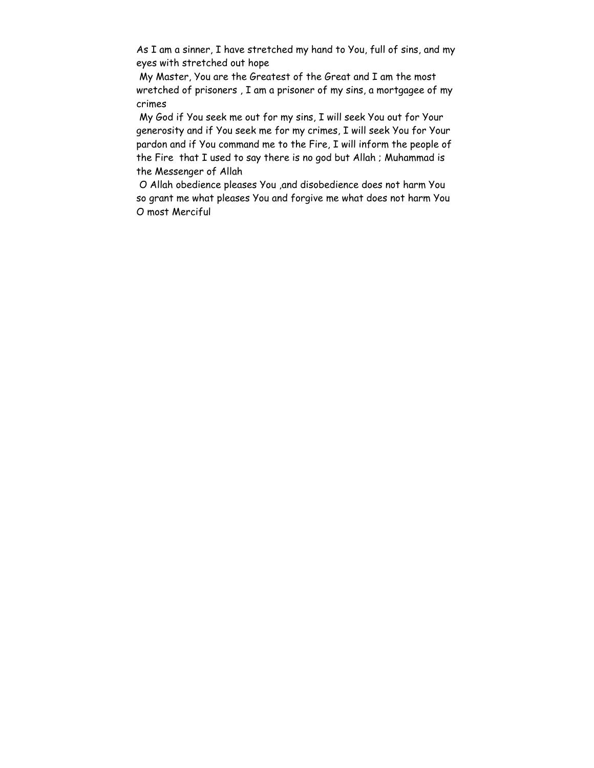As I am a sinner, I have stretched my hand to You, full of sins, and my eyes with stretched out hope

 My Master, You are the Greatest of the Great and I am the most wretched of prisoners , I am a prisoner of my sins, a mortgagee of my crimes

 My God if You seek me out for my sins, I will seek You out for Your generosity and if You seek me for my crimes, I will seek You for Your pardon and if You command me to the Fire, I will inform the people of the Fire that I used to say there is no god but Allah ; Muhammad is the Messenger of Allah

 O Allah obedience pleases You ,and disobedience does not harm You so grant me what pleases You and forgive me what does not harm You O most Merciful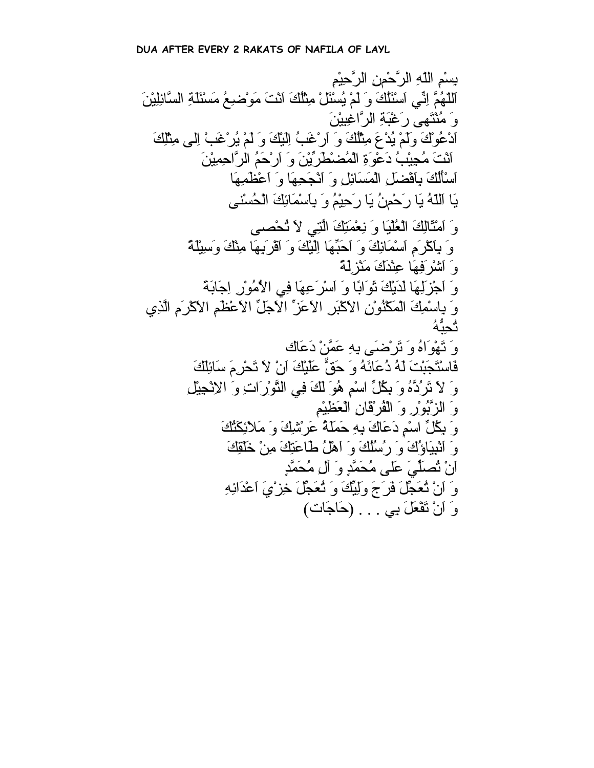بِسْمِ اللّهِ الرَّحْمنِ الرَّحِيْمِ اَللّهُمَّ اِنِّي اَسْئَلُكَ وَ لَمْ يُسْئَلْ مِثْلُكَ اَنْتَ مَوْضِعُ مَسْئَلَةِ السَّائِلِيْنَ وَ مُنْتَهى رَغْبَةِ الرَّاغِبِيْنَ اَدْعُوْكَ وَلَمْ يُدْعَ مِثْلُكَ وَ اَرْغَبُ اِلَيْكَ وَ لَمْ يُرْغَبْ اِلى مِثْلِكَ اَنْتَ مُجِيْبُ دَعْوَةِ الْمُضْطَرِّيْنَ وَ اَرْحَمُ الرَّاحِمِيْنَ اَسْأَلُكَ بِاَفْضَلِ الْمَسَائِلِ وَ اَنْجَحِهَا وَ اَعْظَمِهَا يَا اَللّهُ يَا رَحْمنُ يَا رَحِيْمُ وَ بِاَسْمَائِكَ الْحُسْنى وَ اَمْثَالِكَ الْعُلْيَا وَ نِعْمَتِكَ الَّتِي لاَ تُحْصى وَ بِاَآْرَمِ اَسْمَائِكَ وَ اَحَبِّهَا اِلَيْكَ وَ اَقْرَبِهَا مِنْكَ وَسِيْلَةً وَ اَشْرَفِهَا عِنْدَكَ مَنْزِلَةً وَ اَجْزَلِهَا لَدَيْكَ ثَوَابًا وَ اَسْرَعِهَا فِي الاُمُوْرِ اِجَابَةً وَ بِاسْمِكَ الْمَكْنُوْنِ الاَآْبَرِ الاَعَزِّ الاَجَلِّ الاَعْظَمِ الاَآْرَمِ الَّذِي تُحِبُّهُ وَ تَهْوَاهُ وَ تَرْضَى بِهِ عَمَّنْ دَعَاك فَاسْتَجَبْتَ لَهُ دُعَائَهُ وَ حَقٌّ عَلَيْكَ اَنْ لاَ تَحْرِمَ سَائِلَكَ وَ لاَ تَرُدَّهُ وَ بِكُلِّ اسْمٍ هُوَ لَكَ فِي التَّوْرَاتِ وَ الاِنْجِيْلِ وَ الزَّبُوْرِ وَ الْفُرْقَانِ الْعَظِيْمِ وَ بِكُلِّ اسْمٍ دَعَاكَ بِهِ حَمَلَةُ عَرْشِكَ وَ مَلاَئِكَتُكَ وَ اَنْبِيَاؤُكَ وَ رُسُلُكَ وَ اَهْلُ طَاعَتِكَ مِنْ خَلْقِكَ اَنْ تُصَلِّيَ عَلى مُحَمَّدٍ وَ آلِ مُحَمَّدٍ وَ اَنْ تُعَجِّلَ فَرَجَ وَلِيِّكَ وَ تُعَجِّلَ خِزْيَ اَعْدَائِهِ وَ اَنْ تَفْعَلَ بِي . . . (حَاجَات)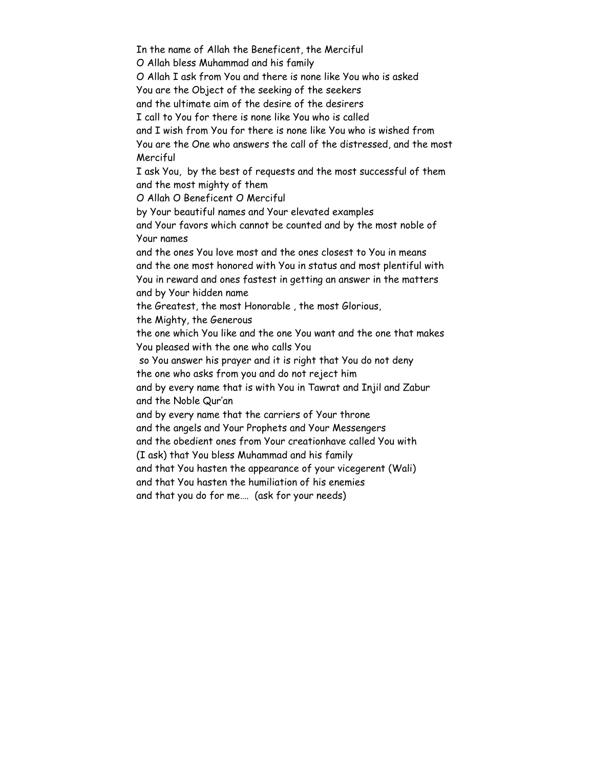In the name of Allah the Beneficent, the Merciful O Allah bless Muhammad and his family O Allah I ask from You and there is none like You who is asked You are the Object of the seeking of the seekers and the ultimate aim of the desire of the desirers I call to You for there is none like You who is called and I wish from You for there is none like You who is wished from You are the One who answers the call of the distressed, and the most Merciful I ask You, by the best of requests and the most successful of them and the most mighty of them O Allah O Beneficent O Merciful by Your beautiful names and Your elevated examples and Your favors which cannot be counted and by the most noble of Your names and the ones You love most and the ones closest to You in means and the one most honored with You in status and most plentiful with You in reward and ones fastest in getting an answer in the matters and by Your hidden name the Greatest, the most Honorable , the most Glorious, the Mighty, the Generous the one which You like and the one You want and the one that makes You pleased with the one who calls You so You answer his prayer and it is right that You do not deny the one who asks from you and do not reject him and by every name that is with You in Tawrat and Injil and Zabur and the Noble Qur'an and by every name that the carriers of Your throne and the angels and Your Prophets and Your Messengers and the obedient ones from Your creationhave called You with (I ask) that You bless Muhammad and his family and that You hasten the appearance of your vicegerent (Wali) and that You hasten the humiliation of his enemies and that you do for me…. (ask for your needs)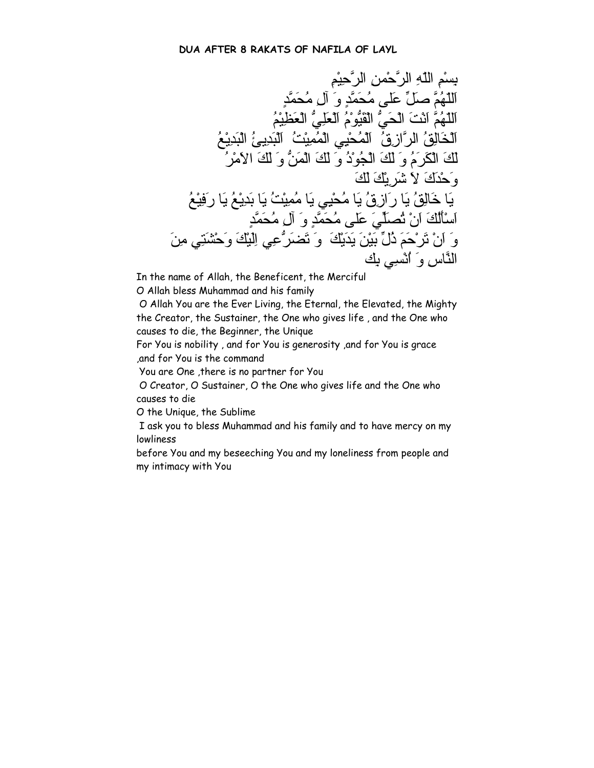بِسْمِ اللّهِ الرَّحْمنِ الرَّحِيْمِ اَللّهُمَّ صَلِّ عَلى مُحَمَّدٍ وَ آلِ مُحَمَّدٍ اَللّهُمَّ اَنْتَ الْحَيُّ الْقَيُّوْمُ اَلْعَلِيُّ الْعَظِيْمُ اَلْخَالِقُ الرَّازِقُ اَلْمُحْيِي الْمُمِيْتُ اَلْبَدِيئُ الْبَدِيْعُ لَكَ الْكَرَمُ وَ لَكَ الْجُوْدُ وَ لَكَ الْمَنُّ وَ لَكَ الاَمْرُ وَحْدَكَ لاَ شَرِيْكَ لَكَ يَا خَالِقُ يَا رَازِقُ يَا مُحْيِي يَا مُمِيْتُ يَا بَدِيْعُ يَا رَفِيْعُ اَسْأَلُكَ اَنْ تُصَلِّيَ عَلى مُحَمَّدٍ وَ آلِ مُحَمَّدٍ وَ اَنْ تَرْحَمَ ذُلِّ بَيْنَ يَدَيْكَ وَ تَضَرُّعِي اِلَيْكَ وَحْشَتِي مِنَ النَّاسِ وَ اُنْسِي بِك

In the name of Allah, the Beneficent, the Merciful

O Allah bless Muhammad and his family

 O Allah You are the Ever Living, the Eternal, the Elevated, the Mighty the Creator, the Sustainer, the One who gives life , and the One who causes to die, the Beginner, the Unique

For You is nobility , and for You is generosity ,and for You is grace ,and for You is the command

You are One ,there is no partner for You

 O Creator, O Sustainer, O the One who gives life and the One who causes to die

O the Unique, the Sublime

 I ask you to bless Muhammad and his family and to have mercy on my lowliness

before You and my beseeching You and my loneliness from people and my intimacy with You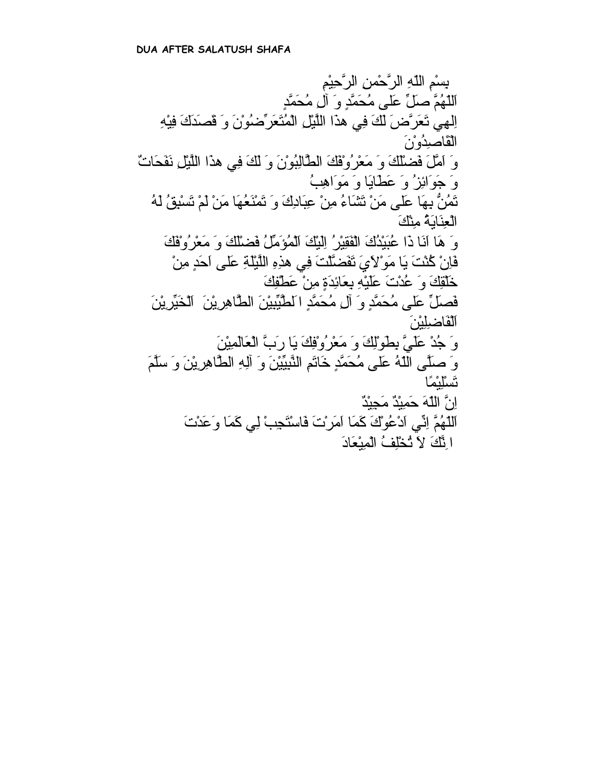بِسْمِ اللّهِ الرَّحْمنِ الرَّحِيْمِ اَللّهُمَّ صَلِّ عَلى مُحَمَّدٍ وَ آلِ مُحَمَّدٍ اِلهِي تَعَرَّضَ لَكَ فِي هذَا اللَّيْلِ الْمُتَعَرِّضُوْنَ وَ قَصَدَكَ فِيْهِ الْقَاصِدُوْنَ وَ اَمَّلَ فَضْلَكَ وَ مَعْرُوْفَكَ الطَّالِبُوْنَ وَ لَكَ فِي هذَا اللَّيْلِ نَفَحَاتٌ وَ جَوَائِزُ وَ عَطَايَا وَ مَوَاهِبُ تَمُنُّ بِهَا عَلى مَنْ تَشَاءُ مِنْ عِبَادِكَ وَ تَمْنَعُهَا مَنْ لَمْ تَسْبِقُ لَهُ الْعِنَايَةُ مِنْكَ وَ هَا اَنَا ذَا عُبَيْدُكَ الْفَقِيْرُ اِلَيْكَ اَلْمُؤَمِّلُ فَضْلَكَ وَ مَعْرُوْفَكَ فَاِنْ آُنْتَ يَا مَوْلاَيَ تَفَضَّلْتَ فِي هذِهِ اللَّيْلَةِ عَلى اَحَدٍ مِنْ خَلْقِكَ وَ عُدْتَ عَلَيْهِ بِعَائِدَةٍ مِنْ عَطْفِكَ فَصَلِّ عَلى مُحَمَّدٍ وَ آلِ مُحَمَّدٍ اَلطَّيِّبِيْنَ الطَّاهِرِيْنَ اَلْخَيِّرِيْنَ اَلْفَاضِلِيْنَ وَ جُدْ عَلَيَّ بِطَوْلِكَ وَ مَعْرُوْفِكَ يَا رَبَّ الْعَالَمِيْنَ وَ صَلَّى اللّهُ عَلى مُحَمَّدٍ خَاتَمِ النَّبِيِّيْنَ وَ آلِهِ الطَّاهِرِيْنَ وَ سَلَّمَ تَسْلِيْمًا اِنَّ اللّهَ حَمِيْدٌ مَجِيْدٌ اَللّهُمَّ اِنِّي اَدْعُوْكَ آَمَا اَمَرْتَ فَاسْتَجِبْ لِي آَمَا وَعَدْتَ اِنَّكَ لاَ تُخْلِفُ الْمِيْعَادَ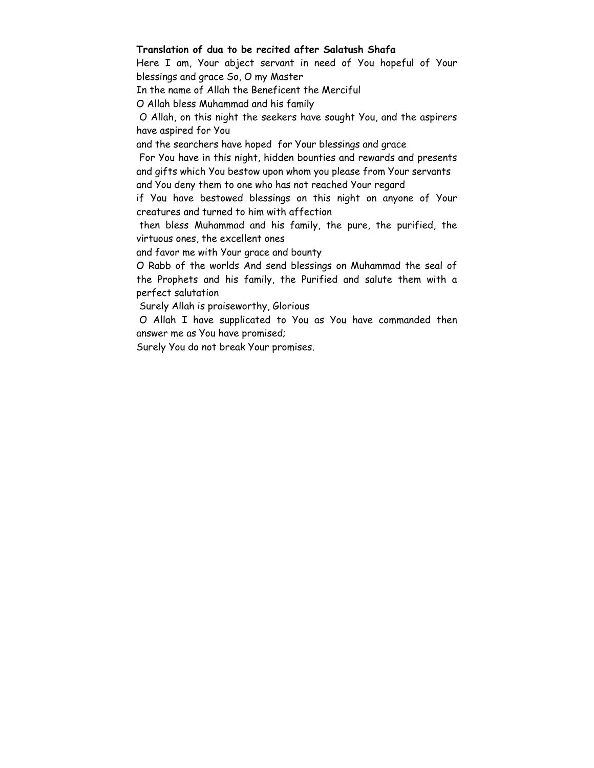#### **Translation of dua to be recited after Salatush Shafa**

Here I am, Your abject servant in need of You hopeful of Your blessings and grace So, O my Master

In the name of Allah the Beneficent the Merciful

O Allah bless Muhammad and his family

 O Allah, on this night the seekers have sought You, and the aspirers have aspired for You

and the searchers have hoped for Your blessings and grace

 For You have in this night, hidden bounties and rewards and presents and gifts which You bestow upon whom you please from Your servants and You deny them to one who has not reached Your regard

if You have bestowed blessings on this night on anyone of Your creatures and turned to him with affection

 then bless Muhammad and his family, the pure, the purified, the virtuous ones, the excellent ones

and favor me with Your grace and bounty

O Rabb of the worlds And send blessings on Muhammad the seal of the Prophets and his family, the Purified and salute them with a perfect salutation

Surely Allah is praiseworthy, Glorious

 O Allah I have supplicated to You as You have commanded then answer me as You have promised;

Surely You do not break Your promises.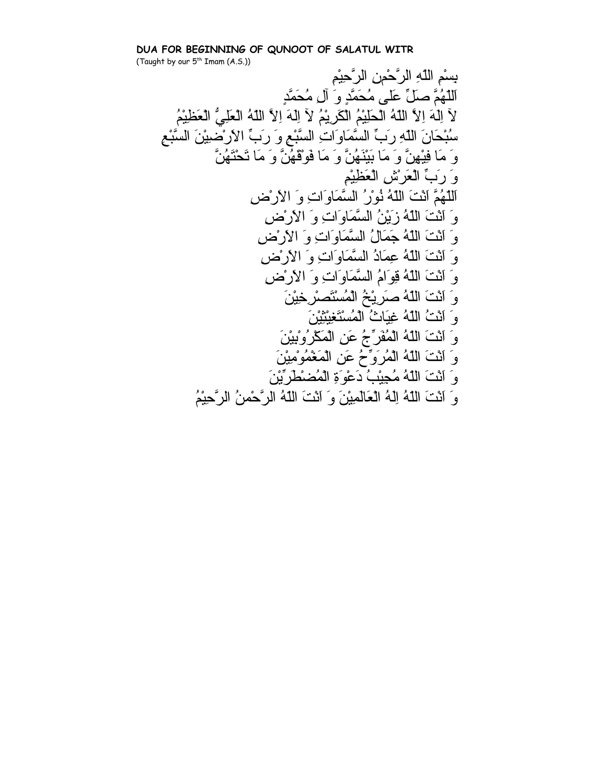# **DUA FOR BEGINNING OF QUNOOT OF SALATUL WITR**   $U \wedge \cdots \wedge U \wedge \cdots \wedge \cdots \wedge \cdots \wedge \cdots$ <br>(Taught by our  $5^{th}$  Imam  $(A.S.)$ )

بِسْمِ اللّهِ الرَّحْمنِ الرَّحِيْمِ اَللّهُمَّ صَلِّ عَلى مُحَمَّدٍ وَ آلِ مُحَمَّدٍ لآ اِلَهَ اِلاَّ اللّهُ الْحَلِيْمُ الْكَرِيْمُ لآ اِلَهَ اِلاَّ اللّهُ الْعَلِيُّ الْعَظِيْمُ سُبْحَانَ اللّهِ رَبِّ السَّمَاوَاتِ السَّبْعِ وَ رَبِّ الاَرْضِيْنَ السَّبْعِ وَ مَا فِيْهِنَّ وَ مَا بَيْنَهُنَّ وَ مَا فَوْقَهُنَّ وَ مَا تَحْتَهُنَّ وَ رَبِّ الْعَرْشِ الْعَظِيْمِ اَللّهُمَّ اَنْتَ اللّهُ نُوْرُ السَّمَاوَاتِ وَ الاَرْضِ وَ اَنْتَ اللّهُ زَيْنُ السَّمَاوَاتِ وَ الاَرْضِ وَ اَنْتَ اللّهُ جَمَالُ السَّمَاوَاتِ وَ الاَرْضِ وَ اَنْتَ اللّهُ عِمَادُ السَّمَاوَاتِ وَ الاَرْضِ وَ اَنْتَ اللّهُ قِوَامُ السَّمَاوَاتِ وَ الاَرْضِ وَ اَنْتَ اللّهُ صَرِيْخُ الْمُسْتَصْرِخِيْنَ وَ اَنْتُ اللّهُ غِيَاثُ الْمُسْتَغِيْثِيْنَ وَ اَنْتَ اللّهُ الْمُفَرِّجُ عَنِ الْمَكْرُوْبِيْنَ وَ اَنْتَ اللّهُ الْمُرَوِّحُ عَنِ الْمَغْمُوْمِيْنَ وَ اَنْتَ اللّهُ مُجِيْبُ دَعْوَةِ الْمُضْطَرِّيْنَ وَ اَنْتَ اللّهُ اِلَهُ الْعَالَمِيْنَ وَ اَنْتَ اللّهُ الرَّحْمنُ الرَّحِيْمُ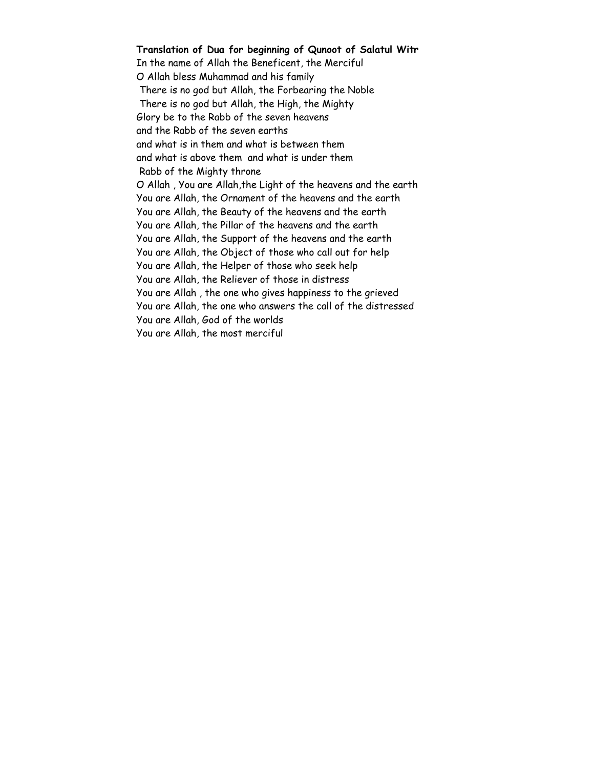**Translation of Dua for beginning of Qunoot of Salatul Witr**  In the name of Allah the Beneficent, the Merciful O Allah bless Muhammad and his family There is no god but Allah, the Forbearing the Noble There is no god but Allah, the High, the Mighty Glory be to the Rabb of the seven heavens and the Rabb of the seven earths and what is in them and what is between them and what is above them and what is under them Rabb of the Mighty throne O Allah , You are Allah,the Light of the heavens and the earth You are Allah, the Ornament of the heavens and the earth You are Allah, the Beauty of the heavens and the earth You are Allah, the Pillar of the heavens and the earth You are Allah, the Support of the heavens and the earth You are Allah, the Object of those who call out for help You are Allah, the Helper of those who seek help You are Allah, the Reliever of those in distress You are Allah , the one who gives happiness to the grieved You are Allah, the one who answers the call of the distressed You are Allah, God of the worlds You are Allah, the most merciful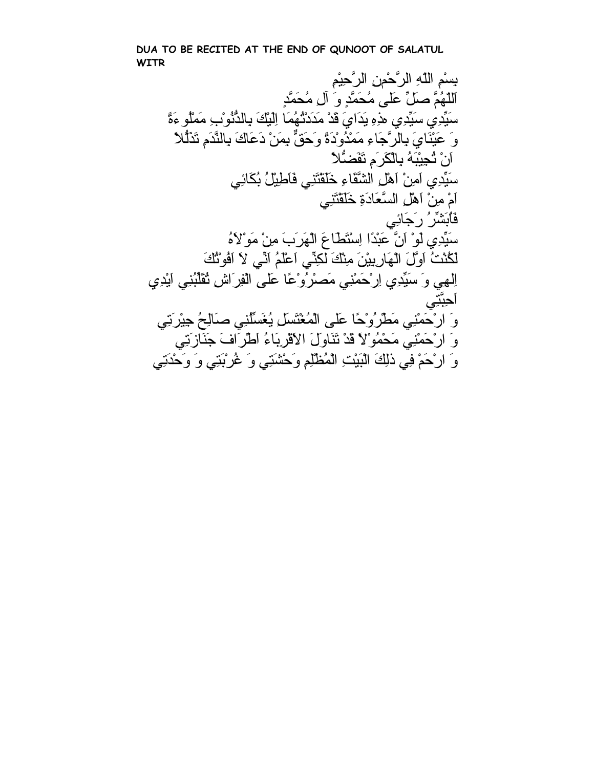**DUA TO BE RECITED AT THE END OF QUNOOT OF SALATUL WITR**

بِسْمِ اللّهِ الرَّحْمنِ الرَّحِيْمِ اَللّهُمَّ صَلِّ عَلى مُحَمَّدٍ وَ آلِ مُحَمَّدٍ سَيِّدِي سَيِّدِي هذِهِ يَدَايَ قَدْ مَدَدْتُهُمَا اِلْيَكَ بِالذُّنُوْبِ مَمْلُو ءَةً وَ عَيْنَايَ بِالرَّجَاءِ مَمْدُوْدَةً وَحَقٌّ بِمَنْ دَعَاكَ بِالنَّدَمِ تَذَلُّلاً اَنْ تُجِيْبَهُ بِالْكَرَمِ تَفَضُّلاً سَيِّدِي اَمِنْ اَهْلِ الشَّقَاءِ خَلَقْتَنِي فَاَطِيْلُ بُكَائِي اَمْ مِنْ اَهْلِ السَّعَادَةِ خَلَقْتَنِي فَاُبَشِّرُ رَجَائِي سَيِّدِي لَوْ اَنَّ عَبْدًا اِسْتَطَاعَ الْهَرَبَ مِنْ مَوْلاَهُ لَكُنْتُ اَوَّلَ الْهَارِبِيْنَ مِنْكَ لكِنِّي اَعْلَمُ اَنِّي لاَ اَفُوْتُكَ اِلهِي وَ سَيِّدِي اِرْحَمْنِي مَصْرُوْعًا عَلى الْفِرَاشِ تُقَلِّبُنِي اَيْدِي اَحِبَّتِي وَ ارْحَمْنِي مَطْرُوْحًا عَلى الْمُغْتَسَلِ يُغَسِّلُنِي صَالِحُ جِيْرَتِي وَ ارْحَمْنِي مَحْمُوْلاً قَدْ تَنَاوَلَ الاَقْرِبَاءُ اَطْرَافَ جَنَازَتِي وَ ارْحَمْ فِيذلِكَ الْبَيْتِ الْمُظْلِمِ وَحْشَتِي وَ غُرْبَتِي وَ وَحْدَتِي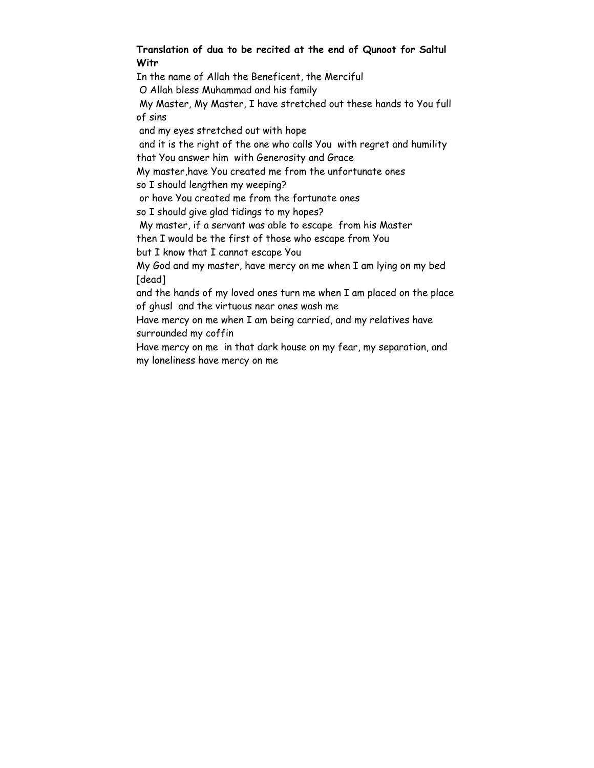#### **Translation of dua to be recited at the end of Qunoot for Saltul Witr**

In the name of Allah the Beneficent, the Merciful O Allah bless Muhammad and his family My Master, My Master, I have stretched out these hands to You full of sins and my eyes stretched out with hope and it is the right of the one who calls You with regret and humility that You answer him with Generosity and Grace My master,have You created me from the unfortunate ones so I should lengthen my weeping? or have You created me from the fortunate ones so I should give glad tidings to my hopes? My master, if a servant was able to escape from his Master then I would be the first of those who escape from You but I know that I cannot escape You My God and my master, have mercy on me when I am lying on my bed [dead] and the hands of my loved ones turn me when I am placed on the place of ghusl and the virtuous near ones wash me Have mercy on me when I am being carried, and my relatives have surrounded my coffin Have mercy on me in that dark house on my fear, my separation, and my loneliness have mercy on me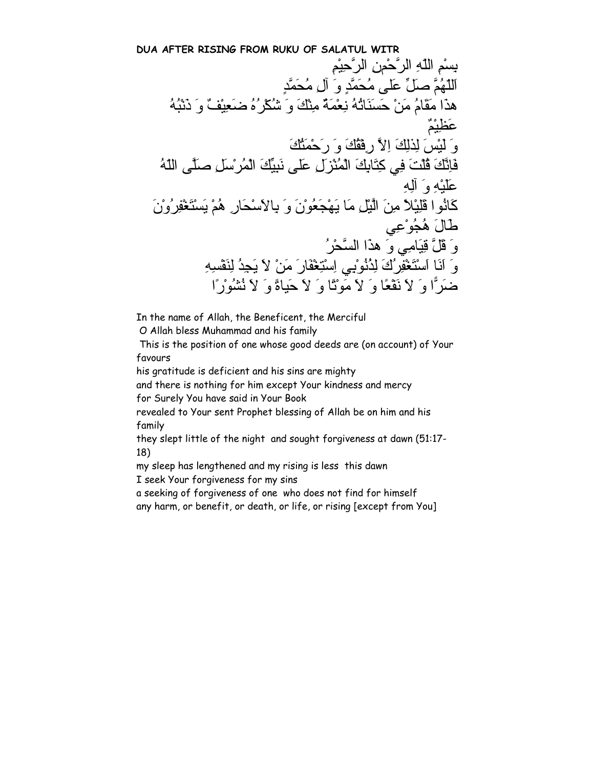**DUA AFTER RISING FROM RUKU OF SALATUL WITR** بِسْمِ اللّهِ الرَّحْمنِ الرَّحِيْمِ اَللّهُمَّ صَلِّ عَلى مُحَمَّدٍ وَ آلِ مُحَمَّدٍ هذَا مَقَامُ مَنْ حَسَنَاتُهُ نِعْمَةٌ مِنْكَ وَ شُكْرُهُ ضَعِيْفٌ وَ ذَنْبُهُ عَظِيْمٌ وَ لَيْسَلِذلِكَ اِلاَّ رِفْقُكَ وَ رَحْمَتُكَ فَاِنَّكَ قُلْتَ فِي آِتَابِكَ الْمُنْزَلِ عَلى نَبِيِّكَ الْمُرْسَلِ صَلَّى اللّهُ عَلَيْهِ وَ آلِهِ آَانُوا قَلِيْلاً مِنَ الَّيْلِ مَا يَهْجَعُوْنَ وَ بِالاَسْحَارِ هُمْ يَسْتَغْفِرُوْنَ طَالَ هُجُوْعِي وَ قَلَّ قِيَامِي وَ هذَا السَّحْرُ وَ اَنَا اَسْتَغْفِرُكَ لِذُنُوْبِي اِسْتِغْفَارَ مَنْ لاَ يَجِدُ لِنَفْسِهِ ضَرًّا وَ لاَ نَفْعًا وَ لاَ مَوْتًا وَ لاَ حَياةً وَ لاَ نُشُوْرًا

In the name of Allah, the Beneficent, the Merciful

O Allah bless Muhammad and his family

 This is the position of one whose good deeds are (on account) of Your favours

his gratitude is deficient and his sins are mighty

and there is nothing for him except Your kindness and mercy for Surely You have said in Your Book

revealed to Your sent Prophet blessing of Allah be on him and his family

they slept little of the night and sought forgiveness at dawn (51:17- 18)

my sleep has lengthened and my rising is less this dawn

I seek Your forgiveness for my sins

a seeking of forgiveness of one who does not find for himself

any harm, or benefit, or death, or life, or rising [except from You]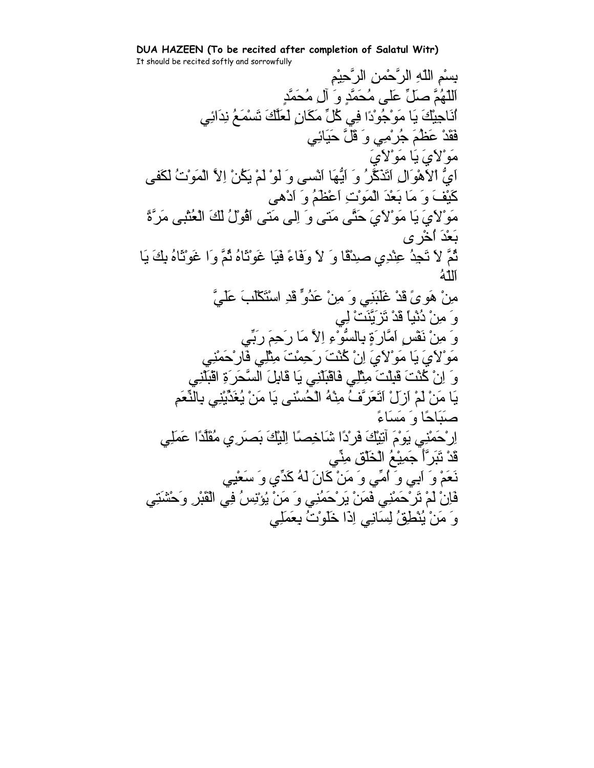**DUA HAZEEN (To be recited after completion of Salatul Witr)** It should be recited softly and sorrowfully

بِسْمِ اللّهِ الرَّحْمنِ الرَّحِيْمِ اَللّهُمَّ صَلِّ عَلى مُحَمَّدٍ وَ آلِ مُحَمَّدٍ اُنَاجِيْكَ يَا مَوْجُوْدًا فِي آُلِّ مَكَانٍ لَعَلَّكَ تَسْمَعُ نِدَائِي فَقَدْ عَظُمَ جُرْمِي وَ قَلَّ حَيَائِي مَوْلاَيَ يَا مَوْلاَيَ اَيُّ اْلاَهْوَالِ اَتَذَآَّرُ وَ اَيُّهَا اَنْسى وَ لَوْ لَمْ يَكُنْ اِلاَّ الْمَوْتُ لَكَفى آَيْفَ وَ مَا بَعْدَ الْمَوْتِ اَعْظَمُ وَ اَدْهى مَوْلاَيَ يَا مَوْلاَيَ حَتَّى مَتى وَ اِلى مَتى اَقُوْلُ لَكَ الْعُتْبى مَرَّةً بَعْدَ اُخْرى ثُمَّ لاَ تَجِدُ عِنْدِي صِدْقًا وَ لاَ وَفَاءً فَيَا غَوْثَاهُ ثُمَّ وَا غَوْثَاهُ بِكَ يَا اَللّهُ مِنْ هَوىً قَدْ غَلَبَنِي وَ مِنْ عَدُوٍّ قَدِ اسْتَكْلَبَ عَلَيَّ وَ مِنْ دُنْياً قَدْ تَزَيَّنَتْ لِي وَ مِنْ نَفْسٍ اَمَّارَةٍ بِالسُّوْءِ اِلاَّ مَا رَحِمَ رَبِّي مَوْلاَيَ يَا مَوْلاَيَ اِنْ آُنْتَ رَحِمْتَ مِثْلِي فَارْحَمْنِي وَ اِنْ آُنْتَ قَبِلْتَ مِثْلِي فَاقْبَلْنِي يَا قَابِلَ السَّحَرَةِ اقْبَلْنِي يَا مَنْ لَمْ اَزَلْ اَتَعَرَّفُ مِنْهُ الْحُسْنى يَا مَنْ يُغَذِّيْنِي بِالنِّعَمِ صَبَاحًا وَ مَسَاءً اِرْحَمْنِي يَوْمَ آتِيْكَ فَرْدًا شَاخِصًا اِلَيْكَ بَصَرِي مُقَلَّدًا عَمَلِي قَدْ تَبَرَّأَ جَمِيْعُ الْخَلْقِ مِنِّي نَعَمْ وَ آَبِي وَ اُمِّي وَ مَنْ كَانَ لَهُ كَدِّي وَ سَعْيِي فَاِنْ لَمْ تَرْحَمْنِي فَمَنْ يَرْحَمُنِي وَ مَنْ يُؤْنِسُ فِي الْقَبْرِ وَحْشَتِي وَ مَنْ يُنْطِقُ لِسَانِي اِذَا خَلَوْتُ بِعَمَلِي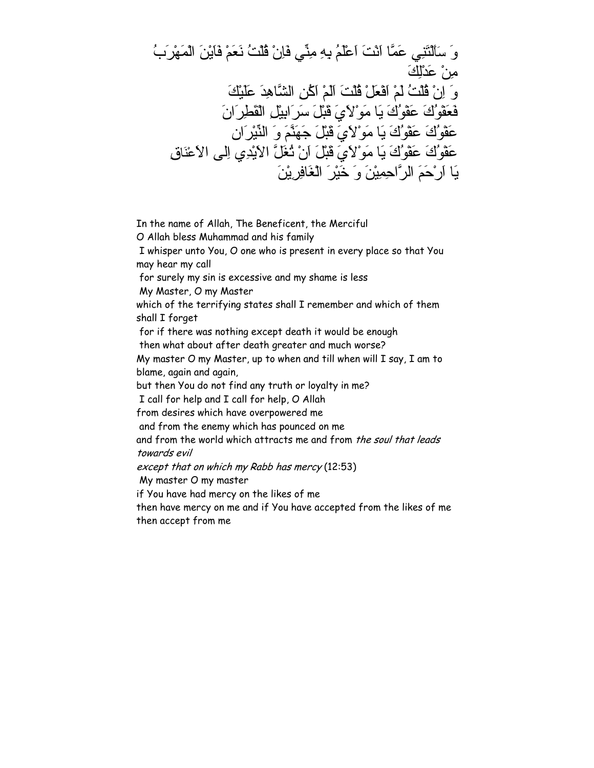وَ سَأَلْتَنِي عَمَّا اَنْتَ اَعْلَمُ بِهِ مِنِّي فَاِنْ قُلْتُ نَعَمْ فَاَيْنَ الْمَهْرَبُ مِنْ عَدْلِكَ وَ اِنْ قُلْتُ لَمْ اَفْعَلْ قُلْتَ اَلَمْ اَآُنِ الشَّاهِدَ عَلَيْكَ فَعَفْوُكَ عَفْوُكَ يَا مَوْلاَيَ قَبْلَ سَرَابِيْلِ الْقَطِرَانَ عَفْوُكَ عَفْوُكَ يَا مَوْلاَيَ قَبْلَ جَهَنَّمَ وَ النِّيْرَان عَفْوُكَ عَفْوُكَ يَا مَوْلاَيَ قَبْلَ اَنْ تُغَلَّ الاَيْدِي اِلى الاَعْنَاقِ يَا اَرْحَمَ الرَّاحِمِيْنَ وَ خَيْرَ الْغَافِرِيْنَ

In the name of Allah, The Beneficent, the Merciful O Allah bless Muhammad and his family I whisper unto You, O one who is present in every place so that You may hear my call for surely my sin is excessive and my shame is less My Master, O my Master which of the terrifying states shall I remember and which of them shall I forget for if there was nothing except death it would be enough then what about after death greater and much worse? My master O my Master, up to when and till when will I say, I am to blame, again and again, but then You do not find any truth or loyalty in me? I call for help and I call for help, O Allah from desires which have overpowered me and from the enemy which has pounced on me and from the world which attracts me and from the soul that leads towards evil except that on which my Rabb has mercy (12:53) My master O my master if You have had mercy on the likes of me then have mercy on me and if You have accepted from the likes of me

then accept from me